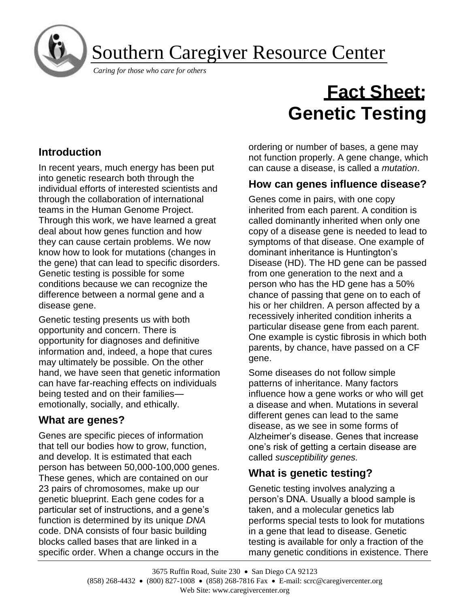Southern Caregiver Resource Center

*Caring for those who care for others* 

# **Introduction**

ì ļ

In recent years, much energy has been put into genetic research both through the individual efforts of interested scientists and through the collaboration of international teams in the Human Genome Project. Through this work, we have learned a great deal about how genes function and how they can cause certain problems. We now know how to look for mutations (changes in the gene) that can lead to specific disorders. Genetic testing is possible for some conditions because we can recognize the difference between a normal gene and a disease gene.

Genetic testing presents us with both opportunity and concern. There is opportunity for diagnoses and definitive information and, indeed, a hope that cures may ultimately be possible. On the other hand, we have seen that genetic information can have far-reaching effects on individuals being tested and on their families emotionally, socially, and ethically.

## **What are genes?**

Genes are specific pieces of information that tell our bodies how to grow, function, and develop. It is estimated that each person has between 50,000-100,000 genes. These genes, which are contained on our 23 pairs of chromosomes, make up our genetic blueprint. Each gene codes for a particular set of instructions, and a gene's function is determined by its unique *DNA* code. DNA consists of four basic building blocks called bases that are linked in a specific order. When a change occurs in the

## **Fact Sheet: Genetic Testing**

ordering or number of bases, a gene may not function properly. A gene change, which can cause a disease, is called a *mutation*.

## **How can genes influence disease?**

Genes come in pairs, with one copy inherited from each parent. A condition is called dominantly inherited when only one copy of a disease gene is needed to lead to symptoms of that disease. One example of dominant inheritance is Huntington's Disease (HD). The HD gene can be passed from one generation to the next and a person who has the HD gene has a 50% chance of passing that gene on to each of his or her children. A person affected by a recessively inherited condition inherits a particular disease gene from each parent. One example is cystic fibrosis in which both parents, by chance, have passed on a CF gene.

Some diseases do not follow simple patterns of inheritance. Many factors influence how a gene works or who will get a disease and when. Mutations in several different genes can lead to the same disease, as we see in some forms of Alzheimer's disease. Genes that increase one's risk of getting a certain disease are called *susceptibility genes.*

## **What is genetic testing?**

Genetic testing involves analyzing a person's DNA. Usually a blood sample is taken, and a molecular genetics lab performs special tests to look for mutations in a gene that lead to disease. Genetic testing is available for only a fraction of the many genetic conditions in existence. There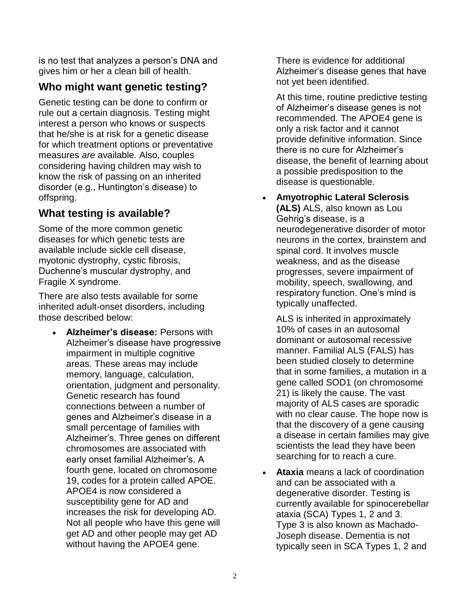is no test that analyzes a person's DNA and gives him or her a clean bill of health.

## **Who might want genetic testing?**

Genetic testing can be done to confirm or rule out a certain diagnosis. Testing might interest a person who knows or suspects that he/she is at risk for a genetic disease for which treatment options or preventative measures *are* available*.* Also, couples considering having children may wish to know the risk of passing on an inherited disorder (e.g., Huntington's disease) to offspring.

## **What testing is available?**

Some of the more common genetic diseases for which genetic tests are available include sickle cell disease, myotonic dystrophy, cystic fibrosis, Duchenne's muscular dystrophy, and Fragile X syndrome.

There are also tests available for some inherited adult-onset disorders, including those described below:

• **Alzheimer's disease:** Persons with Alzheimer's disease have progressive impairment in multiple cognitive areas. These areas may include memory, language, calculation, orientation, judgment and personality. Genetic research has found connections between a number of genes and Alzheimer's disease in a small percentage of families with Alzheimer's. Three genes on different chromosomes are associated with early onset familial Alzheimer's. A fourth gene, located on chromosome 19, codes for a protein called APOE. APOE4 is now considered a susceptibility gene for AD and increases the risk for developing AD. Not all people who have this gene will get AD and other people may get AD without having the APOE4 gene.

There is evidence for additional Alzheimer's disease genes that have not yet been identified.

At this time, routine predictive testing of Alzheimer's disease genes is not recommended. The APOE4 gene is only a risk factor and it cannot provide definitive information. Since there is no cure for Alzheimer's disease, the benefit of learning about a possible predisposition to the disease is questionable.

• **Amyotrophic Lateral Sclerosis (ALS)** ALS, also known as Lou Gehrig's disease, is a neurodegenerative disorder of motor neurons in the cortex, brainstem and spinal cord. It involves muscle weakness, and as the disease progresses, severe impairment of mobility, speech, swallowing, and respiratory function. One's mind is typically unaffected.

ALS is inherited in approximately 10% of cases in an autosomal dominant or autosomal recessive manner. Familial ALS (FALS) has been studied closely to determine that in some families, a mutation in a gene called SOD1 (on chromosome 21) is likely the cause. The vast majority of ALS cases are sporadic with no clear cause. The hope now is that the discovery of a gene causing a disease in certain families may give scientists the lead they have been searching for to reach a cure.

• **Ataxia** means a lack of coordination and can be associated with a degenerative disorder. Testing is currently available for spinocerebellar ataxia (SCA) Types 1, 2 and 3. Type 3 is also known as Machado-Joseph disease. Dementia is not typically seen in SCA Types 1, 2 and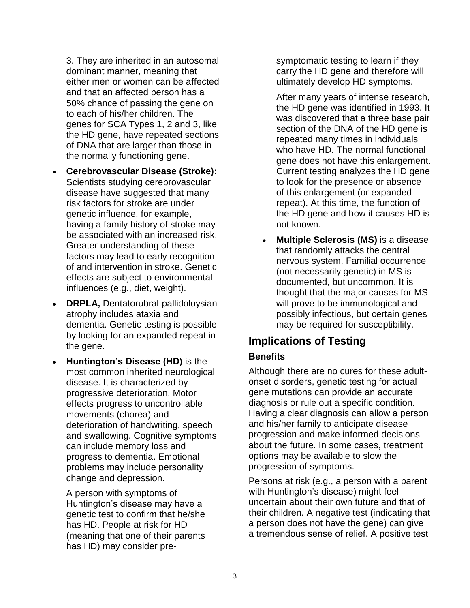3. They are inherited in an autosomal dominant manner, meaning that either men or women can be affected and that an affected person has a 50% chance of passing the gene on to each of his/her children. The genes for SCA Types 1, 2 and 3, like the HD gene, have repeated sections of DNA that are larger than those in the normally functioning gene.

- **Cerebrovascular Disease (Stroke):** Scientists studying cerebrovascular disease have suggested that many risk factors for stroke are under genetic influence, for example, having a family history of stroke may be associated with an increased risk. Greater understanding of these factors may lead to early recognition of and intervention in stroke. Genetic effects are subject to environmental influences (e.g., diet, weight).
- **DRPLA,** Dentatorubral-pallidoluysian atrophy includes ataxia and dementia. Genetic testing is possible by looking for an expanded repeat in the gene.
- **Huntington's Disease (HD)** is the most common inherited neurological disease. It is characterized by progressive deterioration. Motor effects progress to uncontrollable movements (chorea) and deterioration of handwriting, speech and swallowing. Cognitive symptoms can include memory loss and progress to dementia. Emotional problems may include personality change and depression.

A person with symptoms of Huntington's disease may have a genetic test to confirm that he/she has HD. People at risk for HD (meaning that one of their parents has HD) may consider presymptomatic testing to learn if they carry the HD gene and therefore will ultimately develop HD symptoms.

After many years of intense research, the HD gene was identified in 1993. It was discovered that a three base pair section of the DNA of the HD gene is repeated many times in individuals who have HD. The normal functional gene does not have this enlargement. Current testing analyzes the HD gene to look for the presence or absence of this enlargement (or expanded repeat). At this time, the function of the HD gene and how it causes HD is not known.

• **Multiple Sclerosis (MS)** is a disease that randomly attacks the central nervous system. Familial occurrence (not necessarily genetic) in MS is documented, but uncommon. It is thought that the major causes for MS will prove to be immunological and possibly infectious, but certain genes may be required for susceptibility.

## **Implications of Testing**

#### **Benefits**

Although there are no cures for these adultonset disorders, genetic testing for actual gene mutations can provide an accurate diagnosis or rule out a specific condition. Having a clear diagnosis can allow a person and his/her family to anticipate disease progression and make informed decisions about the future. In some cases, treatment options may be available to slow the progression of symptoms.

Persons at risk (e.g., a person with a parent with Huntington's disease) might feel uncertain about their own future and that of their children. A negative test (indicating that a person does not have the gene) can give a tremendous sense of relief. A positive test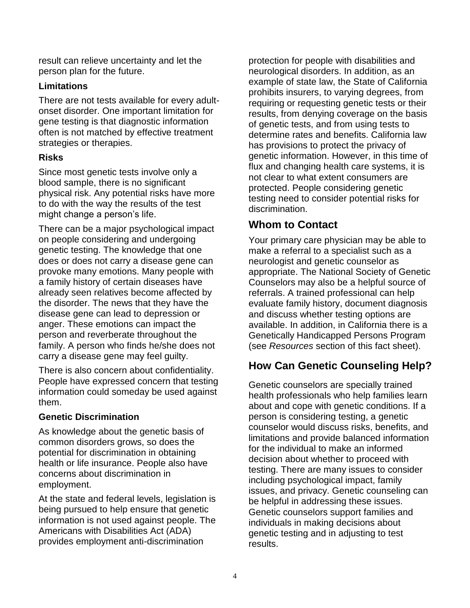result can relieve uncertainty and let the person plan for the future.

#### **Limitations**

There are not tests available for every adultonset disorder. One important limitation for gene testing is that diagnostic information often is not matched by effective treatment strategies or therapies.

#### **Risks**

Since most genetic tests involve only a blood sample, there is no significant physical risk. Any potential risks have more to do with the way the results of the test might change a person's life.

There can be a major psychological impact on people considering and undergoing genetic testing. The knowledge that one does or does not carry a disease gene can provoke many emotions. Many people with a family history of certain diseases have already seen relatives become affected by the disorder. The news that they have the disease gene can lead to depression or anger. These emotions can impact the person and reverberate throughout the family. A person who finds he/she does not carry a disease gene may feel guilty.

There is also concern about confidentiality. People have expressed concern that testing information could someday be used against them.

#### **Genetic Discrimination**

As knowledge about the genetic basis of common disorders grows, so does the potential for discrimination in obtaining health or life insurance. People also have concerns about discrimination in employment.

At the state and federal levels, legislation is being pursued to help ensure that genetic information is not used against people. The Americans with Disabilities Act (ADA) provides employment anti-discrimination

protection for people with disabilities and neurological disorders. In addition, as an example of state law, the State of California prohibits insurers, to varying degrees, from requiring or requesting genetic tests or their results, from denying coverage on the basis of genetic tests, and from using tests to determine rates and benefits. California law has provisions to protect the privacy of genetic information. However, in this time of flux and changing health care systems, it is not clear to what extent consumers are protected. People considering genetic testing need to consider potential risks for discrimination.

## **Whom to Contact**

Your primary care physician may be able to make a referral to a specialist such as a neurologist and genetic counselor as appropriate. The National Society of Genetic Counselors may also be a helpful source of referrals. A trained professional can help evaluate family history, document diagnosis and discuss whether testing options are available. In addition, in California there is a Genetically Handicapped Persons Program (see *Resources* section of this fact sheet).

## **How Can Genetic Counseling Help?**

Genetic counselors are specially trained health professionals who help families learn about and cope with genetic conditions. If a person is considering testing, a genetic counselor would discuss risks, benefits, and limitations and provide balanced information for the individual to make an informed decision about whether to proceed with testing. There are many issues to consider including psychological impact, family issues, and privacy. Genetic counseling can be helpful in addressing these issues. Genetic counselors support families and individuals in making decisions about genetic testing and in adjusting to test results.